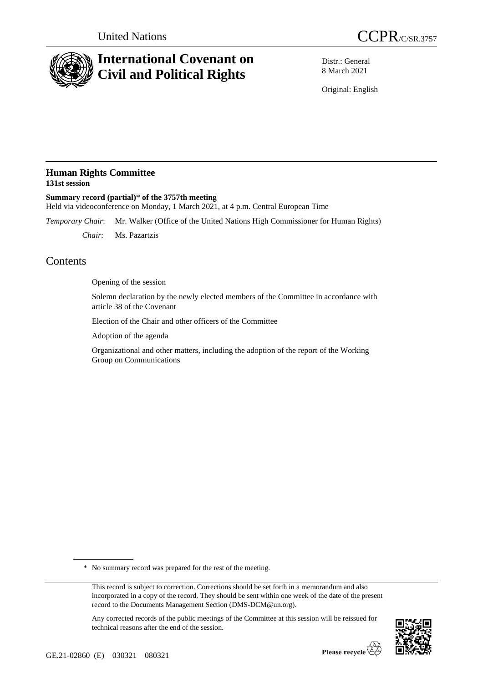

# **International Covenant on Civil and Political Rights**



Distr.: General 8 March 2021

Original: English

### **Human Rights Committee 131st session**

**Summary record (partial)**\* **of the 3757th meeting** Held via videoconference on Monday, 1 March 2021, at 4 p.m. Central European Time

*Temporary Chair*: Mr. Walker (Office of the United Nations High Commissioner for Human Rights)

*Chair*: Ms. Pazartzis

## **Contents**

Opening of the session

Solemn declaration by the newly elected members of the Committee in accordance with article 38 of the Covenant

Election of the Chair and other officers of the Committee

Adoption of the agenda

Organizational and other matters, including the adoption of the report of the Working Group on Communications

\* No summary record was prepared for the rest of the meeting.

Any corrected records of the public meetings of the Committee at this session will be reissued for technical reasons after the end of the session.



This record is subject to correction. Corrections should be set forth in a memorandum and also incorporated in a copy of the record. They should be sent within one week of the date of the present record to the Documents Management Section (DMS-DCM@un.org).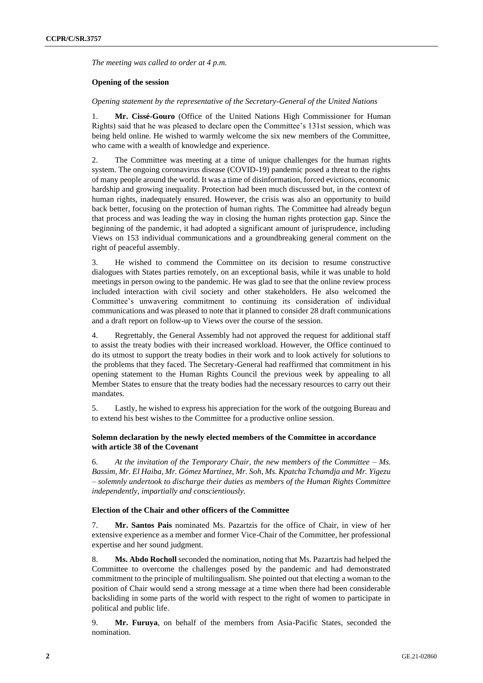*The meeting was called to order at 4 p.m.*

#### **Opening of the session**

*Opening statement by the representative of the Secretary-General of the United Nations*

1. **Mr. Cissé-Gouro** (Office of the United Nations High Commissioner for Human Rights) said that he was pleased to declare open the Committee's 131st session, which was being held online. He wished to warmly welcome the six new members of the Committee, who came with a wealth of knowledge and experience.

2. The Committee was meeting at a time of unique challenges for the human rights system. The ongoing coronavirus disease (COVID-19) pandemic posed a threat to the rights of many people around the world. It was a time of disinformation, forced evictions, economic hardship and growing inequality. Protection had been much discussed but, in the context of human rights, inadequately ensured. However, the crisis was also an opportunity to build back better, focusing on the protection of human rights. The Committee had already begun that process and was leading the way in closing the human rights protection gap. Since the beginning of the pandemic, it had adopted a significant amount of jurisprudence, including Views on 153 individual communications and a groundbreaking general comment on the right of peaceful assembly.

3. He wished to commend the Committee on its decision to resume constructive dialogues with States parties remotely, on an exceptional basis, while it was unable to hold meetings in person owing to the pandemic. He was glad to see that the online review process included interaction with civil society and other stakeholders. He also welcomed the Committee's unwavering commitment to continuing its consideration of individual communications and was pleased to note that it planned to consider 28 draft communications and a draft report on follow-up to Views over the course of the session.

4. Regrettably, the General Assembly had not approved the request for additional staff to assist the treaty bodies with their increased workload. However, the Office continued to do its utmost to support the treaty bodies in their work and to look actively for solutions to the problems that they faced. The Secretary-General had reaffirmed that commitment in his opening statement to the Human Rights Council the previous week by appealing to all Member States to ensure that the treaty bodies had the necessary resources to carry out their mandates.

5. Lastly, he wished to express his appreciation for the work of the outgoing Bureau and to extend his best wishes to the Committee for a productive online session.

#### **Solemn declaration by the newly elected members of the Committee in accordance with article 38 of the Covenant**

6. *At the invitation of the Temporary Chair, the new members of the Committee – Ms. Bassim, Mr. El Haiba, Mr. Gómez Martínez, Mr. Soh, Ms. Kpatcha Tchamdja and Mr. Yigezu – solemnly undertook to discharge their duties as members of the Human Rights Committee independently, impartially and conscientiously.*

#### **Election of the Chair and other officers of the Committee**

7. **Mr. Santos Pais** nominated Ms. Pazartzis for the office of Chair, in view of her extensive experience as a member and former Vice-Chair of the Committee, her professional expertise and her sound judgment.

8. **Ms. Abdo Rocholl** seconded the nomination, noting that Ms. Pazartzis had helped the Committee to overcome the challenges posed by the pandemic and had demonstrated commitment to the principle of multilingualism. She pointed out that electing a woman to the position of Chair would send a strong message at a time when there had been considerable backsliding in some parts of the world with respect to the right of women to participate in political and public life.

9. **Mr. Furuya**, on behalf of the members from Asia-Pacific States, seconded the nomination.